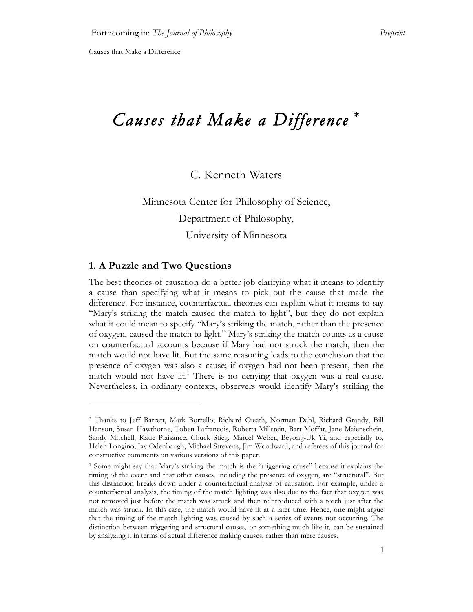# *Causes that Make a Difference* <sup>∗</sup>

# C. Kenneth Waters

Minnesota Center for Philosophy of Science, Department of Philosophy, University of Minnesota

#### **1. A Puzzle and Two Questions**

 $\overline{a}$ 

The best theories of causation do a better job clarifying what it means to identify a cause than specifying what it means to pick out the cause that made the difference. For instance, counterfactual theories can explain what it means to say "Mary's striking the match caused the match to light", but they do not explain what it could mean to specify "Mary's striking the match, rather than the presence of oxygen, caused the match to light." Mary's striking the match counts as a cause on counterfactual accounts because if Mary had not struck the match, then the match would not have lit. But the same reasoning leads to the conclusion that the presence of oxygen was also a cause; if oxygen had not been present, then the match would not have lit.<sup>1</sup> There is no denying that oxygen was a real cause. Nevertheless, in ordinary contexts, observers would identify Mary's striking the

<sup>∗</sup> Thanks to Jeff Barrett, Mark Borrello, Richard Creath, Norman Dahl, Richard Grandy, Bill Hanson, Susan Hawthorne, Toben Lafrancois, Roberta Millstein, Bart Moffat, Jane Maienschein, Sandy Mitchell, Katie Plaisance, Chuck Stieg, Marcel Weber, Beyong-Uk Yi, and especially to, Helen Longino, Jay Odenbaugh, Michael Strevens, Jim Woodward, and referees of this journal for constructive comments on various versions of this paper.

<sup>1</sup> Some might say that Mary's striking the match is the "triggering cause" because it explains the timing of the event and that other causes, including the presence of oxygen, are "structural". But this distinction breaks down under a counterfactual analysis of causation. For example, under a counterfactual analysis, the timing of the match lighting was also due to the fact that oxygen was not removed just before the match was struck and then reintroduced with a torch just after the match was struck. In this case, the match would have lit at a later time. Hence, one might argue that the timing of the match lighting was caused by such a series of events not occurring. The distinction between triggering and structural causes, or something much like it, can be sustained by analyzing it in terms of actual difference making causes, rather than mere causes.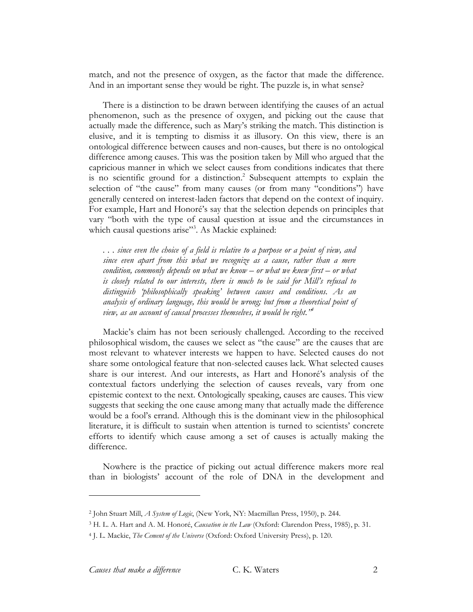match, and not the presence of oxygen, as the factor that made the difference. And in an important sense they would be right. The puzzle is, in what sense?

There is a distinction to be drawn between identifying the causes of an actual phenomenon, such as the presence of oxygen, and picking out the cause that actually made the difference, such as Mary's striking the match. This distinction is elusive, and it is tempting to dismiss it as illusory. On this view, there is an ontological difference between causes and non-causes, but there is no ontological difference among causes. This was the position taken by Mill who argued that the capricious manner in which we select causes from conditions indicates that there is no scientific ground for a distinction. <sup>2</sup> Subsequent attempts to explain the selection of "the cause" from many causes (or from many "conditions") have generally centered on interest-laden factors that depend on the context of inquiry. For example, Hart and Honoré's say that the selection depends on principles that vary "both with the type of causal question at issue and the circumstances in which causal questions arise"<sup>3</sup>. As Mackie explained:

... since even the choice of a field is relative to a purpose or a point of view, and *since even apart from this what we recognize as a cause, rather than a mere condition, commonly depends on what we know – or what we knew first – or what is closely related to our interests, there is much to be said for Mill's refusal to distinguish 'philosophically speaking' between causes and conditions. As an analysis of ordinary language, this would be wrong; but from a theoretical point of view, as an account of causal processes themselves, it would be right."4*

Mackie's claim has not been seriously challenged. According to the received philosophical wisdom, the causes we select as "the cause" are the causes that are most relevant to whatever interests we happen to have. Selected causes do not share some ontological feature that non-selected causes lack. What selected causes share is our interest. And our interests, as Hart and Honoré's analysis of the contextual factors underlying the selection of causes reveals, vary from one epistemic context to the next. Ontologically speaking, causes are causes. This view suggests that seeking the one cause among many that actually made the difference would be a fool's errand. Although this is the dominant view in the philosophical literature, it is difficult to sustain when attention is turned to scientists' concrete efforts to identify which cause among a set of causes is actually making the difference.

Nowhere is the practice of picking out actual difference makers more real than in biologists' account of the role of DNA in the development and

<sup>2</sup> John Stuart Mill, *A System of Logic*, (New York, NY: Macmillan Press, 1950), p. 244.

<sup>3</sup> H. L. A. Hart and A. M. Honoré, *Causation in the Law* (Oxford: Clarendon Press, 1985), p. 31.

<sup>4</sup> J. L. Mackie, *The Cement of the Universe* (Oxford: Oxford University Press), p. 120.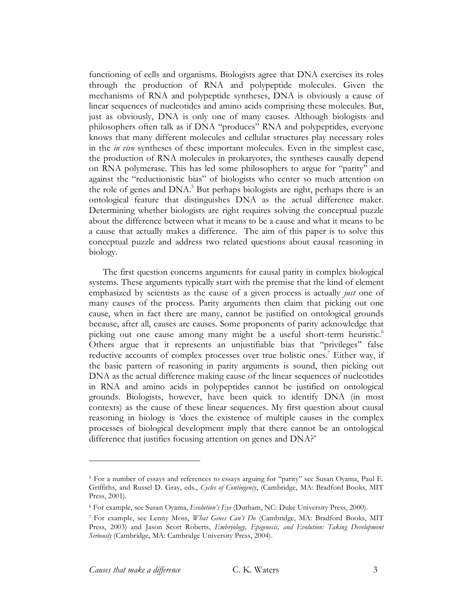functioning of cells and organisms. Biologists agree that DNA exercises its roles through the production of RNA and polypeptide molecules. Given the mechanisms of RNA and polypeptide syntheses, DNA is obviously a cause of linear sequences of nucleotides and amino acids comprising these molecules. But, just as obviously, DNA is only one of many causes. Although biologists and philosophers often talk as if DNA "produces" RNA and polypeptides, everyone knows that many different molecules and cellular structures play necessary roles in the *in vivo* syntheses of these important molecules. Even in the simplest case, the production of RNA molecules in prokaryotes, the syntheses causally depend on RNA polymerase. This has led some philosophers to argue for "parity" and against the "reductionistic bias" of biologists who center so much attention on the role of genes and DNA.<sup>5</sup> But perhaps biologists are right, perhaps there is an ontological feature that distinguishes DNA as the actual difference maker. Determining whether biologists are right requires solving the conceptual puzzle about the difference between what it means to be a cause and what it means to be a cause that actually makes a difference. The aim of this paper is to solve this conceptual puzzle and address two related questions about causal reasoning in biology.

The first question concerns arguments for causal parity in complex biological systems. These arguments typically start with the premise that the kind of element emphasized by scientists as the cause of a given process is actually *just* one of many causes of the process. Parity arguments then claim that picking out one cause, when in fact there are many, cannot be justified on ontological grounds because, after all, causes are causes. Some proponents of parity acknowledge that picking out one cause among many might be a useful short-term heuristic.<sup>6</sup> Others argue that it represents an unjustifiable bias that "privileges" false reductive accounts of complex processes over true holistic ones.<sup>7</sup> Either way, if the basic pattern of reasoning in parity arguments is sound, then picking out DNA as the actual difference making cause of the linear sequences of nucleotides in RNA and amino acids in polypeptides cannot be justified on ontological grounds. Biologists, however, have been quick to identify DNA (in most contexts) as the cause of these linear sequences. My first question about causal reasoning in biology is 'does the existence of multiple causes in the complex processes of biological development imply that there cannot be an ontological difference that justifies focusing attention on genes and DNA?'

<sup>5</sup> For a number of essays and references to essays arguing for "parity" see Susan Oyama, Paul E. Griffiths, and Russel D. Gray, eds., *Cycles of Contingency*, (Cambridge, MA: Bradford Books, MIT Press, 2001).

<sup>6</sup> For example, see Susan Oyama, *Evolution's Eye* (Durham, NC: Duke University Press, 2000).

<sup>7</sup> For example, see Lenny Moss, *What Genes Can't Do* (Cambridge, MA: Bradford Books, MIT Press, 2003) and Jason Scott Roberts, *Embryology, Epigenesis, and Evolution: Taking Development Seriously* (Cambridge, MA: Cambridge University Press, 2004).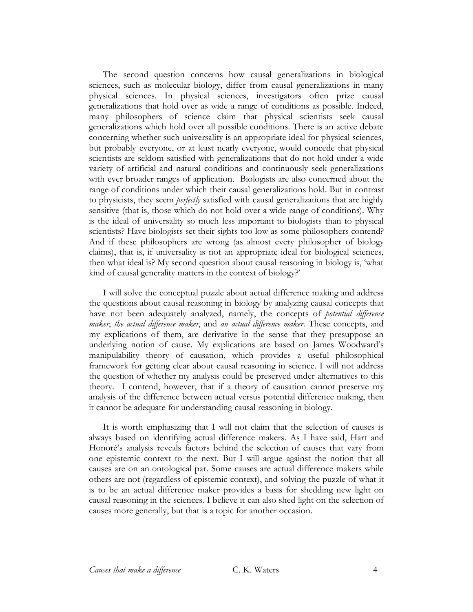The second question concerns how causal generalizations in biological sciences, such as molecular biology, differ from causal generalizations in many physical sciences. In physical sciences, investigators often prize causal generalizations that hold over as wide a range of conditions as possible. Indeed, many philosophers of science claim that physical scientists seek causal generalizations which hold over all possible conditions. There is an active debate concerning whether such universality is an appropriate ideal for physical sciences, but probably everyone, or at least nearly everyone, would concede that physical scientists are seldom satisfied with generalizations that do not hold under a wide variety of artificial and natural conditions and continuously seek generalizations with ever broader ranges of application. Biologists are also concerned about the range of conditions under which their causal generalizations hold. But in contrast to physicists, they seem *perfectly* satisfied with causal generalizations that are highly sensitive (that is, those which do not hold over a wide range of conditions). Why is the ideal of universality so much less important to biologists than to physical scientists? Have biologists set their sights too low as some philosophers contend? And if these philosophers are wrong (as almost every philosopher of biology claims), that is, if universality is not an appropriate ideal for biological sciences, then what ideal is? My second question about causal reasoning in biology is, 'what kind of causal generality matters in the context of biology?'

I will solve the conceptual puzzle about actual difference making and address the questions about causal reasoning in biology by analyzing causal concepts that have not been adequately analyzed, namely, the concepts of *potential difference maker*, *the actual difference maker*, and *an actual difference maker*. These concepts, and my explications of them, are derivative in the sense that they presuppose an underlying notion of cause. My explications are based on James Woodward's manipulability theory of causation, which provides a useful philosophical framework for getting clear about causal reasoning in science. I will not address the question of whether my analysis could be preserved under alternatives to this theory. I contend, however, that if a theory of causation cannot preserve my analysis of the difference between actual versus potential difference making, then it cannot be adequate for understanding causal reasoning in biology.

It is worth emphasizing that I will not claim that the selection of causes is always based on identifying actual difference makers. As I have said, Hart and Honoré's analysis reveals factors behind the selection of causes that vary from one epistemic context to the next. But I will argue against the notion that all causes are on an ontological par. Some causes are actual difference makers while others are not (regardless of epistemic context), and solving the puzzle of what it is to be an actual difference maker provides a basis for shedding new light on causal reasoning in the sciences. I believe it can also shed light on the selection of causes more generally, but that is a topic for another occasion.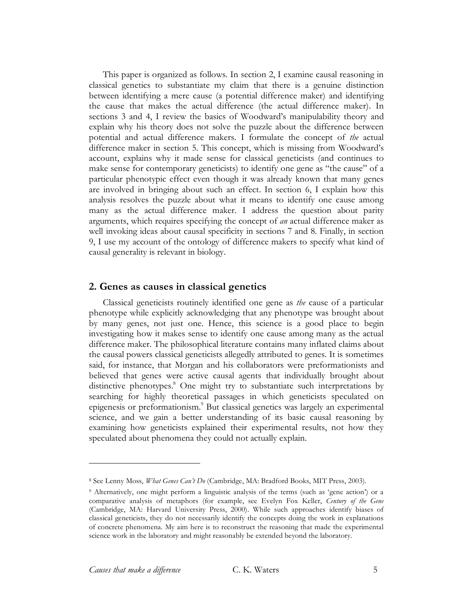This paper is organized as follows. In section 2, I examine causal reasoning in classical genetics to substantiate my claim that there is a genuine distinction between identifying a mere cause (a potential difference maker) and identifying the cause that makes the actual difference (the actual difference maker). In sections 3 and 4, I review the basics of Woodward's manipulability theory and explain why his theory does not solve the puzzle about the difference between potential and actual difference makers. I formulate the concept of *the* actual difference maker in section 5. This concept, which is missing from Woodward's account, explains why it made sense for classical geneticists (and continues to make sense for contemporary geneticists) to identify one gene as "the cause" of a particular phenotypic effect even though it was already known that many genes are involved in bringing about such an effect. In section 6, I explain how this analysis resolves the puzzle about what it means to identify one cause among many as the actual difference maker. I address the question about parity arguments, which requires specifying the concept of *an* actual difference maker as well invoking ideas about causal specificity in sections 7 and 8. Finally, in section 9, I use my account of the ontology of difference makers to specify what kind of causal generality is relevant in biology.

#### **2. Genes as causes in classical genetics**

Classical geneticists routinely identified one gene as *the* cause of a particular phenotype while explicitly acknowledging that any phenotype was brought about by many genes, not just one. Hence, this science is a good place to begin investigating how it makes sense to identify one cause among many as the actual difference maker. The philosophical literature contains many inflated claims about the causal powers classical geneticists allegedly attributed to genes. It is sometimes said, for instance, that Morgan and his collaborators were preformationists and believed that genes were active causal agents that individually brought about distinctive phenotypes. <sup>8</sup> One might try to substantiate such interpretations by searching for highly theoretical passages in which geneticists speculated on epigenesis or preformationism. <sup>9</sup> But classical genetics was largely an experimental science, and we gain a better understanding of its basic causal reasoning by examining how geneticists explained their experimental results, not how they speculated about phenomena they could not actually explain.

<sup>8</sup> See Lenny Moss, *What Genes Can't Do* (Cambridge, MA: Bradford Books, MIT Press, 2003).

<sup>9</sup> Alternatively, one might perform a linguistic analysis of the terms (such as 'gene action') or a comparative analysis of metaphors (for example, see Evelyn Fox Keller, *Century of the Gene* (Cambridge, MA: Harvard University Press, 2000). While such approaches identify biases of classical geneticists, they do not necessarily identify the concepts doing the work in explanations of concrete phenomena. My aim here is to reconstruct the reasoning that made the experimental science work in the laboratory and might reasonably be extended beyond the laboratory.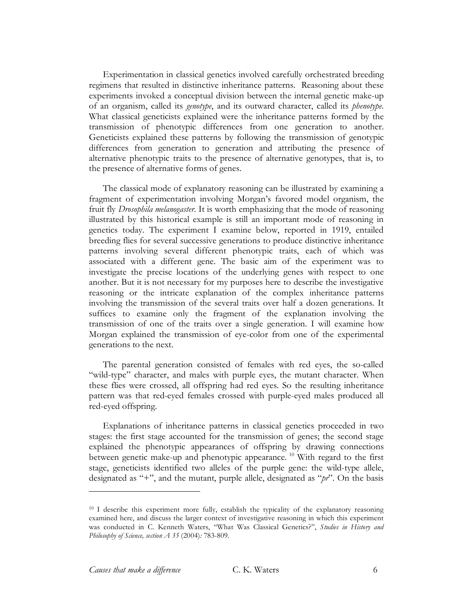Experimentation in classical genetics involved carefully orchestrated breeding regimens that resulted in distinctive inheritance patterns. Reasoning about these experiments invoked a conceptual division between the internal genetic make-up of an organism, called its *genotype*, and its outward character, called its *phenotype.* What classical geneticists explained were the inheritance patterns formed by the transmission of phenotypic differences from one generation to another. Geneticists explained these patterns by following the transmission of genotypic differences from generation to generation and attributing the presence of alternative phenotypic traits to the presence of alternative genotypes, that is, to the presence of alternative forms of genes.

The classical mode of explanatory reasoning can be illustrated by examining a fragment of experimentation involving Morgan's favored model organism, the fruit fly *Drosophila melanogaster*. It is worth emphasizing that the mode of reasoning illustrated by this historical example is still an important mode of reasoning in genetics today. The experiment I examine below, reported in 1919, entailed breeding flies for several successive generations to produce distinctive inheritance patterns involving several different phenotypic traits, each of which was associated with a different gene. The basic aim of the experiment was to investigate the precise locations of the underlying genes with respect to one another. But it is not necessary for my purposes here to describe the investigative reasoning or the intricate explanation of the complex inheritance patterns involving the transmission of the several traits over half a dozen generations. It suffices to examine only the fragment of the explanation involving the transmission of one of the traits over a single generation. I will examine how Morgan explained the transmission of eye-color from one of the experimental generations to the next.

The parental generation consisted of females with red eyes, the so-called "wild-type" character, and males with purple eyes, the mutant character. When these flies were crossed, all offspring had red eyes. So the resulting inheritance pattern was that red-eyed females crossed with purple-eyed males produced all red-eyed offspring.

Explanations of inheritance patterns in classical genetics proceeded in two stages: the first stage accounted for the transmission of genes; the second stage explained the phenotypic appearances of offspring by drawing connections between genetic make-up and phenotypic appearance. <sup>10</sup> With regard to the first stage, geneticists identified two alleles of the purple gene: the wild-type allele, designated as "+", and the mutant, purple allele, designated as "*pr*". On the basis

<sup>&</sup>lt;sup>10</sup> I describe this experiment more fully, establish the typicality of the explanatory reasoning examined here, and discuss the larger context of investigative reasoning in which this experiment was conducted in C. Kenneth Waters, "What Was Classical Genetics?", *Studies in History and Philosophy of Science, section A 35* (2004)*:* 783-809.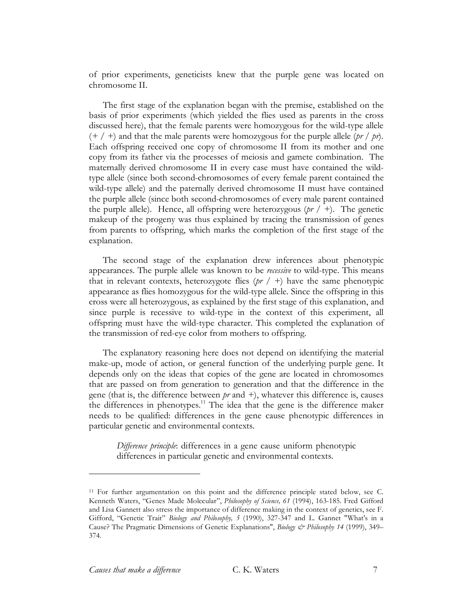of prior experiments, geneticists knew that the purple gene was located on chromosome II.

The first stage of the explanation began with the premise, established on the basis of prior experiments (which yielded the flies used as parents in the cross discussed here), that the female parents were homozygous for the wild-type allele  $(+ / +)$  and that the male parents were homozygous for the purple allele (*pr* / *pr*). Each offspring received one copy of chromosome II from its mother and one copy from its father via the processes of meiosis and gamete combination. The maternally derived chromosome II in every case must have contained the wildtype allele (since both second-chromosomes of every female parent contained the wild-type allele) and the paternally derived chromosome II must have contained the purple allele (since both second-chromosomes of every male parent contained the purple allele). Hence, all offspring were heterozygous  $(pr / +)$ . The genetic makeup of the progeny was thus explained by tracing the transmission of genes from parents to offspring, which marks the completion of the first stage of the explanation.

The second stage of the explanation drew inferences about phenotypic appearances. The purple allele was known to be *recessive* to wild-type. This means that in relevant contexts, heterozygote flies (*pr* / *+*) have the same phenotypic appearance as flies homozygous for the wild-type allele. Since the offspring in this cross were all heterozygous, as explained by the first stage of this explanation, and since purple is recessive to wild-type in the context of this experiment, all offspring must have the wild-type character. This completed the explanation of the transmission of red-eye color from mothers to offspring.

The explanatory reasoning here does not depend on identifying the material make-up, mode of action, or general function of the underlying purple gene. It depends only on the ideas that copies of the gene are located in chromosomes that are passed on from generation to generation and that the difference in the gene (that is, the difference between *pr* and *+*), whatever this difference is, causes the differences in phenotypes.<sup>11</sup> The idea that the gene is the difference maker needs to be qualified: differences in the gene cause phenotypic differences in particular genetic and environmental contexts.

*Difference principle*: differences in a gene cause uniform phenotypic differences in particular genetic and environmental contexts.

<sup>11</sup> For further argumentation on this point and the difference principle stated below, see C. Kenneth Waters, "Genes Made Molecular", *Philosophy of Science, 61* (1994), 163-185. Fred Gifford and Lisa Gannett also stress the importance of difference making in the context of genetics, see F. Gifford, "Genetic Trait" *Biology and Philosophy, 5* (1990), 327-347 and L. Gannet "What's in a Cause? The Pragmatic Dimensions of Genetic Explanations", *Biology & Philosophy 14* (1999), 349– 374.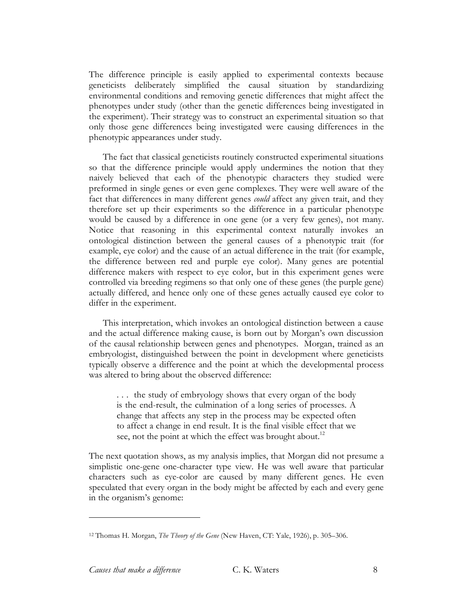The difference principle is easily applied to experimental contexts because geneticists deliberately simplified the causal situation by standardizing environmental conditions and removing genetic differences that might affect the phenotypes under study (other than the genetic differences being investigated in the experiment). Their strategy was to construct an experimental situation so that only those gene differences being investigated were causing differences in the phenotypic appearances under study.

The fact that classical geneticists routinely constructed experimental situations so that the difference principle would apply undermines the notion that they naively believed that each of the phenotypic characters they studied were preformed in single genes or even gene complexes. They were well aware of the fact that differences in many different genes *could* affect any given trait, and they therefore set up their experiments so the difference in a particular phenotype would be caused by a difference in one gene (or a very few genes), not many. Notice that reasoning in this experimental context naturally invokes an ontological distinction between the general causes of a phenotypic trait (for example, eye color) and the cause of an actual difference in the trait (for example, the difference between red and purple eye color). Many genes are potential difference makers with respect to eye color, but in this experiment genes were controlled via breeding regimens so that only one of these genes (the purple gene) actually differed, and hence only one of these genes actually caused eye color to differ in the experiment.

This interpretation, which invokes an ontological distinction between a cause and the actual difference making cause, is born out by Morgan's own discussion of the causal relationship between genes and phenotypes. Morgan, trained as an embryologist, distinguished between the point in development where geneticists typically observe a difference and the point at which the developmental process was altered to bring about the observed difference:

. . . the study of embryology shows that every organ of the body is the end-result, the culmination of a long series of processes. A change that affects any step in the process may be expected often to affect a change in end result. It is the final visible effect that we see, not the point at which the effect was brought about.<sup>12</sup>

The next quotation shows, as my analysis implies, that Morgan did not presume a simplistic one-gene one-character type view. He was well aware that particular characters such as eye-color are caused by many different genes. He even speculated that every organ in the body might be affected by each and every gene in the organism's genome:

<sup>12</sup> Thomas H. Morgan, *The Theory of the Gene* (New Haven, CT: Yale, 1926), p. 305–306.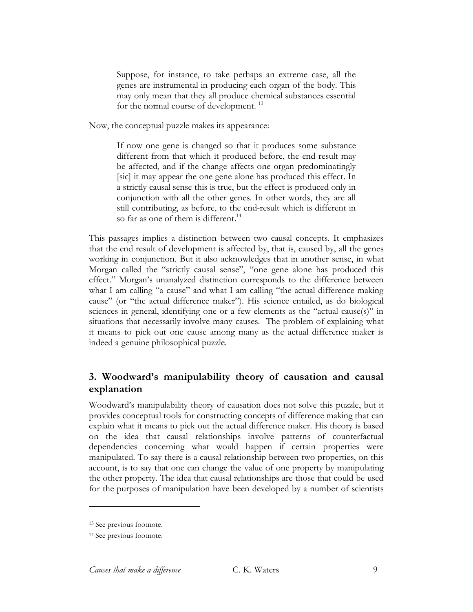Suppose, for instance, to take perhaps an extreme case, all the genes are instrumental in producing each organ of the body. This may only mean that they all produce chemical substances essential for the normal course of development. <sup>13</sup>

Now, the conceptual puzzle makes its appearance:

If now one gene is changed so that it produces some substance different from that which it produced before, the end-result may be affected, and if the change affects one organ predominatingly [sic] it may appear the one gene alone has produced this effect. In a strictly causal sense this is true, but the effect is produced only in conjunction with all the other genes. In other words, they are all still contributing, as before, to the end-result which is different in so far as one of them is different. 14

This passages implies a distinction between two causal concepts. It emphasizes that the end result of development is affected by, that is, caused by, all the genes working in conjunction. But it also acknowledges that in another sense, in what Morgan called the "strictly causal sense", "one gene alone has produced this effect." Morgan's unanalyzed distinction corresponds to the difference between what I am calling "a cause" and what I am calling "the actual difference making cause" (or "the actual difference maker"). His science entailed, as do biological sciences in general, identifying one or a few elements as the "actual cause(s)" in situations that necessarily involve many causes. The problem of explaining what it means to pick out one cause among many as the actual difference maker is indeed a genuine philosophical puzzle.

# **3. Woodward's manipulability theory of causation and causal explanation**

Woodward's manipulability theory of causation does not solve this puzzle, but it provides conceptual tools for constructing concepts of difference making that can explain what it means to pick out the actual difference maker. His theory is based on the idea that causal relationships involve patterns of counterfactual dependencies concerning what would happen if certain properties were manipulated. To say there is a causal relationship between two properties, on this account, is to say that one can change the value of one property by manipulating the other property. The idea that causal relationships are those that could be used for the purposes of manipulation have been developed by a number of scientists

<sup>13</sup> See previous footnote.

<sup>&</sup>lt;sup>14</sup> See previous footnote.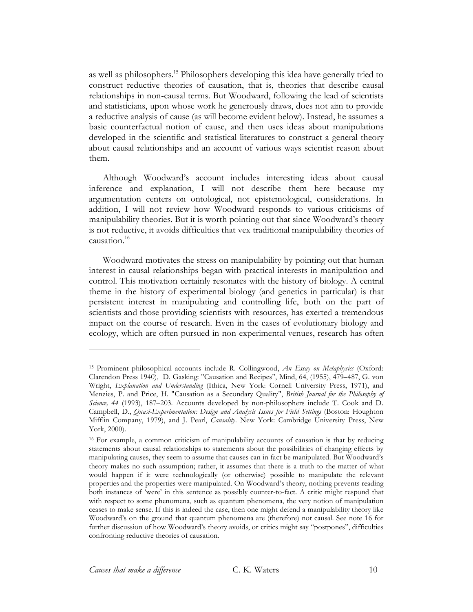as well as philosophers. <sup>15</sup> Philosophers developing this idea have generally tried to construct reductive theories of causation, that is, theories that describe causal relationships in non-causal terms. But Woodward, following the lead of scientists and statisticians, upon whose work he generously draws, does not aim to provide a reductive analysis of cause (as will become evident below). Instead, he assumes a basic counterfactual notion of cause, and then uses ideas about manipulations developed in the scientific and statistical literatures to construct a general theory about causal relationships and an account of various ways scientist reason about them.

Although Woodward's account includes interesting ideas about causal inference and explanation, I will not describe them here because my argumentation centers on ontological, not epistemological, considerations. In addition, I will not review how Woodward responds to various criticisms of manipulability theories. But it is worth pointing out that since Woodward's theory is not reductive, it avoids difficulties that vex traditional manipulability theories of causation. 16

Woodward motivates the stress on manipulability by pointing out that human interest in causal relationships began with practical interests in manipulation and control. This motivation certainly resonates with the history of biology. A central theme in the history of experimental biology (and genetics in particular) is that persistent interest in manipulating and controlling life, both on the part of scientists and those providing scientists with resources, has exerted a tremendous impact on the course of research. Even in the cases of evolutionary biology and ecology, which are often pursued in non-experimental venues, research has often

<sup>15</sup> Prominent philosophical accounts include R. Collingwood, *An Essay on Metaphysics* (Oxford: Clarendon Press 1940), D. Gasking: "Causation and Recipes", Mind, 64, (1955), 479–487, G. von Wright, *Explanation and Understanding* (Ithica, New York: Cornell University Press, 1971), and Menzies, P. and Price, H. "Causation as a Secondary Quality", *British Journal for the Philosophy of Science, 44* (1993), 187–203. Accounts developed by non-philosophers include T. Cook and D. Campbell, D., *Quasi-Experimentation: Design and Analysis Issues for Field Settings* (Boston: Houghton Mifflin Company, 1979), and J. Pearl, *Causality*. New York: Cambridge University Press, New York, 2000).

<sup>16</sup> For example, a common criticism of manipulability accounts of causation is that by reducing statements about causal relationships to statements about the possibilities of changing effects by manipulating causes, they seem to assume that causes can in fact be manipulated. But Woodward's theory makes no such assumption; rather, it assumes that there is a truth to the matter of what would happen if it were technologically (or otherwise) possible to manipulate the relevant properties and the properties were manipulated. On Woodward's theory, nothing prevents reading both instances of 'were' in this sentence as possibly counter-to-fact. A critic might respond that with respect to some phenomena, such as quantum phenomena, the very notion of manipulation ceases to make sense. If this is indeed the case, then one might defend a manipulability theory like Woodward's on the ground that quantum phenomena are (therefore) not causal. See note 16 for further discussion of how Woodward's theory avoids, or critics might say "postpones", difficulties confronting reductive theories of causation.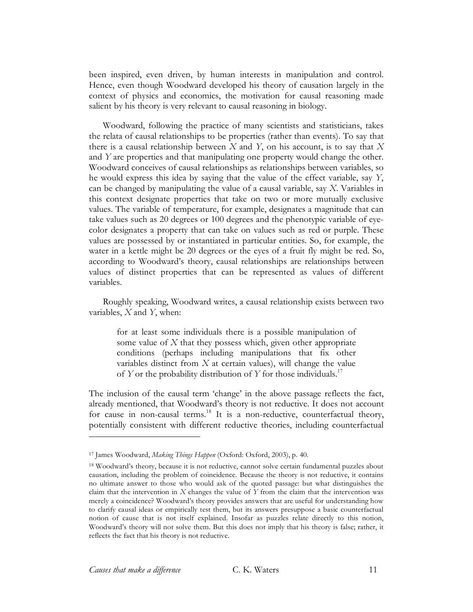been inspired, even driven, by human interests in manipulation and control. Hence, even though Woodward developed his theory of causation largely in the context of physics and economics, the motivation for causal reasoning made salient by his theory is very relevant to causal reasoning in biology.

Woodward, following the practice of many scientists and statisticians, takes the relata of causal relationships to be properties (rather than events). To say that there is a causal relationship between *X* and *Y*, on his account, is to say that *X* and *Y* are properties and that manipulating one property would change the other. Woodward conceives of causal relationships as relationships between variables, so he would express this idea by saying that the value of the effect variable, say *Y*, can be changed by manipulating the value of a causal variable, say *X*. Variables in this context designate properties that take on two or more mutually exclusive values. The variable of temperature, for example, designates a magnitude that can take values such as 20 degrees or 100 degrees and the phenotypic variable of eyecolor designates a property that can take on values such as red or purple. These values are possessed by or instantiated in particular entities. So, for example, the water in a kettle might be 20 degrees or the eyes of a fruit fly might be red. So, according to Woodward's theory, causal relationships are relationships between values of distinct properties that can be represented as values of different variables.

Roughly speaking, Woodward writes, a causal relationship exists between two variables, *X* and *Y*, when:

for at least some individuals there is a possible manipulation of some value of *X* that they possess which, given other appropriate conditions (perhaps including manipulations that fix other variables distinct from *X* at certain values), will change the value of *Y* or the probability distribution of *Y* for those individuals. 17

The inclusion of the causal term 'change' in the above passage reflects the fact, already mentioned, that Woodward's theory is not reductive. It does not account for cause in non-causal terms.<sup>18</sup> It is a non-reductive, counterfactual theory, potentially consistent with different reductive theories, including counterfactual

<sup>17</sup> James Woodward, *Making Things Happen* (Oxford: Oxford, 2003), p. 40.

<sup>18</sup> Woodward's theory, because it is not reductive, cannot solve certain fundamental puzzles about causation, including the problem of coincidence. Because the theory is not reductive, it contains no ultimate answer to those who would ask of the quoted passage: but what distinguishes the claim that the intervention in *X* changes the value of *Y* from the claim that the intervention was merely a coincidence? Woodward's theory provides answers that are useful for understanding how to clarify causal ideas or empirically test them, but its answers presuppose a basic counterfactual notion of cause that is not itself explained. Insofar as puzzles relate directly to this notion, Woodward's theory will not solve them. But this does not imply that his theory is false; rather, it reflects the fact that his theory is not reductive.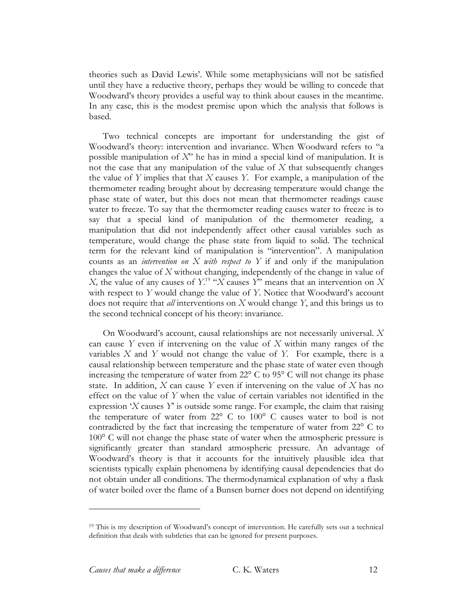theories such as David Lewis'. While some metaphysicians will not be satisfied until they have a reductive theory, perhaps they would be willing to concede that Woodward's theory provides a useful way to think about causes in the meantime. In any case, this is the modest premise upon which the analysis that follows is based.

Two technical concepts are important for understanding the gist of Woodward's theory: intervention and invariance. When Woodward refers to "a possible manipulation of *X*" he has in mind a special kind of manipulation. It is not the case that any manipulation of the value of *X* that subsequently changes the value of *Y* implies that that *X* causes *Y*. For example, a manipulation of the thermometer reading brought about by decreasing temperature would change the phase state of water, but this does not mean that thermometer readings cause water to freeze. To say that the thermometer reading causes water to freeze is to say that a special kind of manipulation of the thermometer reading, a manipulation that did not independently affect other causal variables such as temperature, would change the phase state from liquid to solid. The technical term for the relevant kind of manipulation is "intervention". A manipulation counts as an *intervention on X with respect to Y* if and only if the manipulation changes the value of *X* without changing, independently of the change in value of *X*, the value of any causes of  $Y$ <sup>19</sup> "*X* causes *Y*" means that an intervention on *X* with respect to *Y* would change the value of *Y*. Notice that Woodward's account does not require that *all* interventions on *X* would change *Y*, and this brings us to the second technical concept of his theory: invariance.

On Woodward's account, causal relationships are not necessarily universal. *X* can cause *Y* even if intervening on the value of *X* within many ranges of the variables *X* and *Y* would not change the value of *Y.* For example, there is a causal relationship between temperature and the phase state of water even though increasing the temperature of water from 22° C to 95° C will not change its phase state. In addition, *X* can cause *Y* even if intervening on the value of *X* has no effect on the value of *Y* when the value of certain variables not identified in the expression '*X* causes *Y*' is outside some range. For example, the claim that raising the temperature of water from 22° C to 100° C causes water to boil is not contradicted by the fact that increasing the temperature of water from 22° C to 100° C will not change the phase state of water when the atmospheric pressure is significantly greater than standard atmospheric pressure. An advantage of Woodward's theory is that it accounts for the intuitively plausible idea that scientists typically explain phenomena by identifying causal dependencies that do not obtain under all conditions. The thermodynamical explanation of why a flask of water boiled over the flame of a Bunsen burner does not depend on identifying

<sup>&</sup>lt;sup>19</sup> This is my description of Woodward's concept of intervention. He carefully sets out a technical definition that deals with subtleties that can be ignored for present purposes.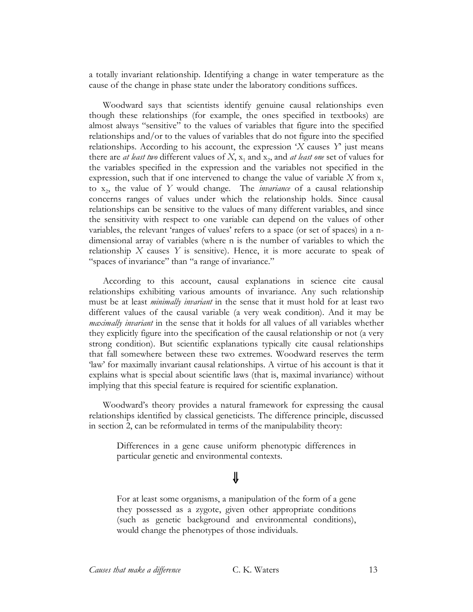a totally invariant relationship. Identifying a change in water temperature as the cause of the change in phase state under the laboratory conditions suffices.

Woodward says that scientists identify genuine causal relationships even though these relationships (for example, the ones specified in textbooks) are almost always "sensitive" to the values of variables that figure into the specified relationships and/or to the values of variables that do not figure into the specified relationships. According to his account, the expression '*X* causes *Y*' just means there are *at least two* different values of  $X$ ,  $x_1$  and  $x_2$ , and *at least one* set of values for the variables specified in the expression and the variables not specified in the expression, such that if one intervened to change the value of variable  $X$  from  $x_1$ to x2, the value of *Y* would change. The *invariance* of a causal relationship concerns ranges of values under which the relationship holds. Since causal relationships can be sensitive to the values of many different variables, and since the sensitivity with respect to one variable can depend on the values of other variables, the relevant 'ranges of values' refers to a space (or set of spaces) in a ndimensional array of variables (where n is the number of variables to which the relationship *X* causes *Y* is sensitive). Hence, it is more accurate to speak of "spaces of invariance" than "a range of invariance."

According to this account, causal explanations in science cite causal relationships exhibiting various amounts of invariance. Any such relationship must be at least *minimally invariant* in the sense that it must hold for at least two different values of the causal variable (a very weak condition). And it may be *maximally invariant* in the sense that it holds for all values of all variables whether they explicitly figure into the specification of the causal relationship or not (a very strong condition). But scientific explanations typically cite causal relationships that fall somewhere between these two extremes. Woodward reserves the term 'law' for maximally invariant causal relationships. A virtue of his account is that it explains what is special about scientific laws (that is, maximal invariance) without implying that this special feature is required for scientific explanation.

Woodward's theory provides a natural framework for expressing the causal relationships identified by classical geneticists. The difference principle, discussed in section 2, can be reformulated in terms of the manipulability theory:

Differences in a gene cause uniform phenotypic differences in particular genetic and environmental contexts.

# ⇓

For at least some organisms, a manipulation of the form of a gene they possessed as a zygote, given other appropriate conditions (such as genetic background and environmental conditions), would change the phenotypes of those individuals.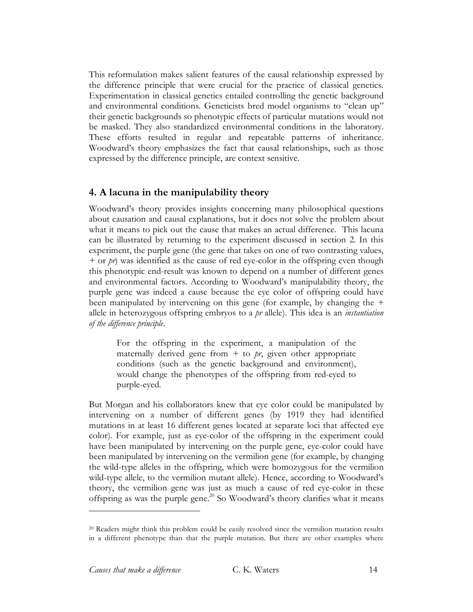This reformulation makes salient features of the causal relationship expressed by the difference principle that were crucial for the practice of classical genetics. Experimentation in classical genetics entailed controlling the genetic background and environmental conditions. Geneticists bred model organisms to "clean up" their genetic backgrounds so phenotypic effects of particular mutations would not be masked. They also standardized environmental conditions in the laboratory. These efforts resulted in regular and repeatable patterns of inheritance. Woodward's theory emphasizes the fact that causal relationships, such as those expressed by the difference principle, are context sensitive.

# **4. A lacuna in the manipulability theory**

Woodward's theory provides insights concerning many philosophical questions about causation and causal explanations, but it does not solve the problem about what it means to pick out the cause that makes an actual difference. This lacuna can be illustrated by returning to the experiment discussed in section 2. In this experiment, the purple gene (the gene that takes on one of two contrasting values, *+* or *pr*) was identified as the cause of red eye-color in the offspring even though this phenotypic end-result was known to depend on a number of different genes and environmental factors. According to Woodward's manipulability theory, the purple gene was indeed a cause because the eye color of offspring could have been manipulated by intervening on this gene (for example, by changing the *+* allele in heterozygous offspring embryos to a *pr* allele). This idea is an *instantiation of the difference principle*.

For the offspring in the experiment, a manipulation of the maternally derived gene from *+* to *pr*, given other appropriate conditions (such as the genetic background and environment), would change the phenotypes of the offspring from red-eyed to purple-eyed.

But Morgan and his collaborators knew that eye color could be manipulated by intervening on a number of different genes (by 1919 they had identified mutations in at least 16 different genes located at separate loci that affected eye color). For example, just as eye-color of the offspring in the experiment could have been manipulated by intervening on the purple gene, eye-color could have been manipulated by intervening on the vermilion gene (for example, by changing the wild-type alleles in the offspring, which were homozygous for the vermilion wild-type allele, to the vermilion mutant allele). Hence, according to Woodward's theory, the vermilion gene was just as much a cause of red eye-color in these offspring as was the purple gene. <sup>20</sup> So Woodward's theory clarifies what it means

<sup>20</sup> Readers might think this problem could be easily resolved since the vermilion mutation results in a different phenotype than that the purple mutation. But there are other examples where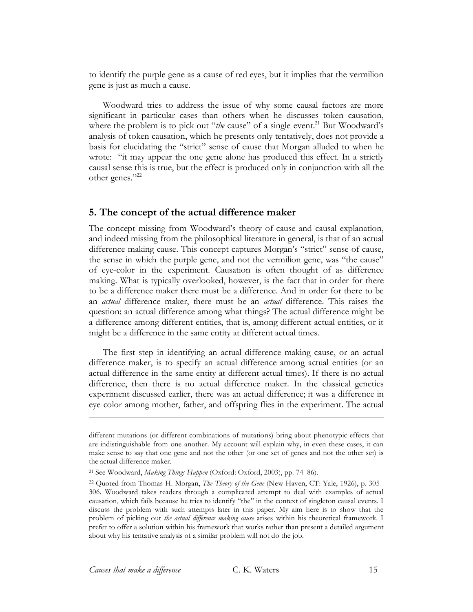to identify the purple gene as a cause of red eyes, but it implies that the vermilion gene is just as much a cause.

Woodward tries to address the issue of why some causal factors are more significant in particular cases than others when he discusses token causation, where the problem is to pick out "*the* cause" of a single event.<sup>21</sup> But Woodward's analysis of token causation, which he presents only tentatively, does not provide a basis for elucidating the "strict" sense of cause that Morgan alluded to when he wrote: "it may appear the one gene alone has produced this effect. In a strictly causal sense this is true, but the effect is produced only in conjunction with all the other genes."<sup>22</sup>

#### **5. The concept of the actual difference maker**

The concept missing from Woodward's theory of cause and causal explanation, and indeed missing from the philosophical literature in general, is that of an actual difference making cause. This concept captures Morgan's "strict" sense of cause, the sense in which the purple gene, and not the vermilion gene, was "the cause" of eye-color in the experiment. Causation is often thought of as difference making. What is typically overlooked, however, is the fact that in order for there to be a difference maker there must be a difference. And in order for there to be an *actual* difference maker, there must be an *actual* difference. This raises the question: an actual difference among what things? The actual difference might be a difference among different entities, that is, among different actual entities, or it might be a difference in the same entity at different actual times.

The first step in identifying an actual difference making cause, or an actual difference maker, is to specify an actual difference among actual entities (or an actual difference in the same entity at different actual times). If there is no actual difference, then there is no actual difference maker. In the classical genetics experiment discussed earlier, there was an actual difference; it was a difference in eye color among mother, father, and offspring flies in the experiment. The actual

different mutations (or different combinations of mutations) bring about phenotypic effects that are indistinguishable from one another. My account will explain why, in even these cases, it can make sense to say that one gene and not the other (or one set of genes and not the other set) is the actual difference maker.

<sup>21</sup> See Woodward, *Making Things Happen* (Oxford: Oxford, 2003), pp. 74–86).

<sup>22</sup> Quoted from Thomas H. Morgan, *The Theory of the Gene* (New Haven, CT: Yale, 1926), p. 305– 306. Woodward takes readers through a complicated attempt to deal with examples of actual causation, which fails because he tries to identify "the" in the context of singleton causal events. I discuss the problem with such attempts later in this paper. My aim here is to show that the problem of picking out *the actual difference making cause* arises within his theoretical framework. I prefer to offer a solution within his framework that works rather than present a detailed argument about why his tentative analysis of a similar problem will not do the job.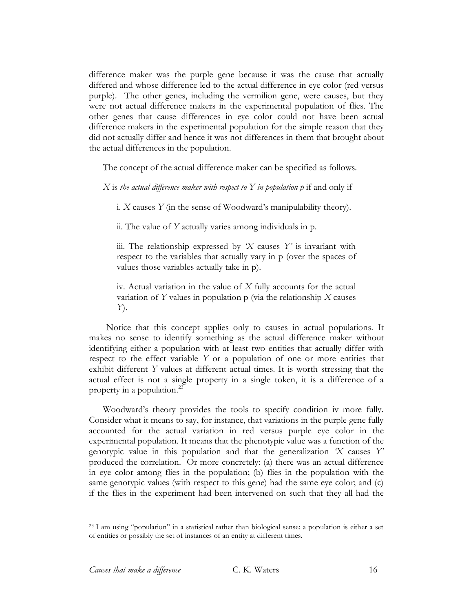difference maker was the purple gene because it was the cause that actually differed and whose difference led to the actual difference in eye color (red versus purple). The other genes, including the vermilion gene, were causes, but they were not actual difference makers in the experimental population of flies. The other genes that cause differences in eye color could not have been actual difference makers in the experimental population for the simple reason that they did not actually differ and hence it was not differences in them that brought about the actual differences in the population.

The concept of the actual difference maker can be specified as follows.

*X* is *the actual difference maker with respect to Y in population p* if and only if

i. *X* causes *Y* (in the sense of Woodward's manipulability theory).

ii. The value of *Y* actually varies among individuals in p.

iii. The relationship expressed by *'X* causes *Y'* is invariant with respect to the variables that actually vary in p (over the spaces of values those variables actually take in p).

iv. Actual variation in the value of *X* fully accounts for the actual variation of *Y* values in population p (via the relationship *X* causes *Y*).

Notice that this concept applies only to causes in actual populations. It makes no sense to identify something as the actual difference maker without identifying either a population with at least two entities that actually differ with respect to the effect variable *Y* or a population of one or more entities that exhibit different *Y* values at different actual times. It is worth stressing that the actual effect is not a single property in a single token, it is a difference of a property in a population.<sup>23</sup>

Woodward's theory provides the tools to specify condition iv more fully. Consider what it means to say, for instance, that variations in the purple gene fully accounted for the actual variation in red versus purple eye color in the experimental population. It means that the phenotypic value was a function of the genotypic value in this population and that the generalization *'X* causes *Y'* produced the correlation. Or more concretely: (a) there was an actual difference in eye color among flies in the population; (b) flies in the population with the same genotypic values (with respect to this gene) had the same eye color; and (c) if the flies in the experiment had been intervened on such that they all had the

<sup>23</sup> I am using "population" in a statistical rather than biological sense: a population is either a set of entities or possibly the set of instances of an entity at different times.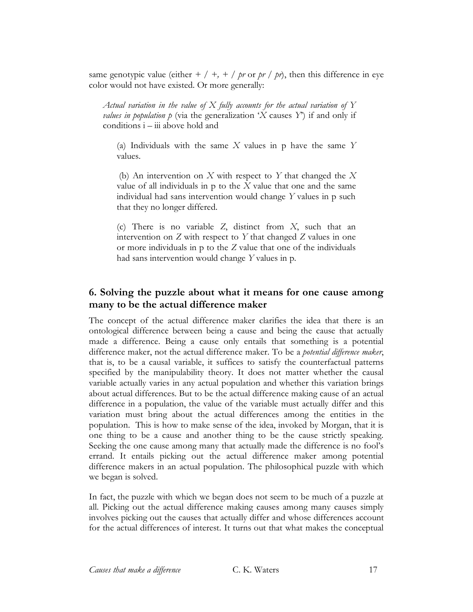same genotypic value (either  $+$  /  $+$ ,  $+$  */ pr* or *pr* / *pr*), then this difference in eye color would not have existed. Or more generally:

*Actual variation in the value of X fully accounts for the actual variation of Y values in population*  $p$  (via the generalization '*X* causes *Y*<sup> $>$ </sup>) if and only if conditions i – iii above hold and

(a) Individuals with the same *X* values in p have the same *Y* values.

(b) An intervention on *X* with respect to *Y* that changed the *X* value of all individuals in p to the *X* value that one and the same individual had sans intervention would change *Y* values in p such that they no longer differed.

(c) There is no variable *Z*, distinct from *X*, such that an intervention on *Z* with respect to *Y* that changed *Z* values in one or more individuals in p to the *Z* value that one of the individuals had sans intervention would change *Y* values in p*.*

# **6. Solving the puzzle about what it means for one cause among many to be the actual difference maker**

The concept of the actual difference maker clarifies the idea that there is an ontological difference between being a cause and being the cause that actually made a difference. Being a cause only entails that something is a potential difference maker, not the actual difference maker. To be a *potential difference maker*, that is, to be a causal variable, it suffices to satisfy the counterfactual patterns specified by the manipulability theory. It does not matter whether the causal variable actually varies in any actual population and whether this variation brings about actual differences. But to be the actual difference making cause of an actual difference in a population, the value of the variable must actually differ and this variation must bring about the actual differences among the entities in the population. This is how to make sense of the idea, invoked by Morgan, that it is one thing to be a cause and another thing to be the cause strictly speaking. Seeking the one cause among many that actually made the difference is no fool's errand. It entails picking out the actual difference maker among potential difference makers in an actual population. The philosophical puzzle with which we began is solved.

In fact, the puzzle with which we began does not seem to be much of a puzzle at all. Picking out the actual difference making causes among many causes simply involves picking out the causes that actually differ and whose differences account for the actual differences of interest. It turns out that what makes the conceptual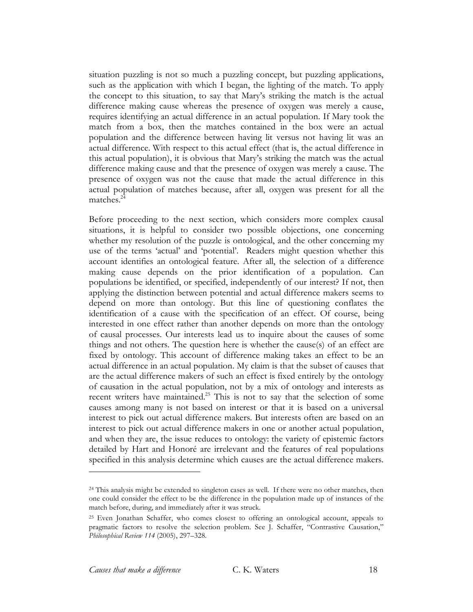situation puzzling is not so much a puzzling concept, but puzzling applications, such as the application with which I began, the lighting of the match. To apply the concept to this situation, to say that Mary's striking the match is the actual difference making cause whereas the presence of oxygen was merely a cause, requires identifying an actual difference in an actual population. If Mary took the match from a box, then the matches contained in the box were an actual population and the difference between having lit versus not having lit was an actual difference. With respect to this actual effect (that is, the actual difference in this actual population), it is obvious that Mary's striking the match was the actual difference making cause and that the presence of oxygen was merely a cause. The presence of oxygen was not the cause that made the actual difference in this actual population of matches because, after all, oxygen was present for all the matches.<sup>24</sup>

Before proceeding to the next section, which considers more complex causal situations, it is helpful to consider two possible objections, one concerning whether my resolution of the puzzle is ontological, and the other concerning my use of the terms 'actual' and 'potential'. Readers might question whether this account identifies an ontological feature. After all, the selection of a difference making cause depends on the prior identification of a population. Can populations be identified, or specified, independently of our interest? If not, then applying the distinction between potential and actual difference makers seems to depend on more than ontology. But this line of questioning conflates the identification of a cause with the specification of an effect. Of course, being interested in one effect rather than another depends on more than the ontology of causal processes. Our interests lead us to inquire about the causes of some things and not others. The question here is whether the cause(s) of an effect are fixed by ontology. This account of difference making takes an effect to be an actual difference in an actual population. My claim is that the subset of causes that are the actual difference makers of such an effect is fixed entirely by the ontology of causation in the actual population, not by a mix of ontology and interests as recent writers have maintained.<sup>25</sup> This is not to say that the selection of some causes among many is not based on interest or that it is based on a universal interest to pick out actual difference makers. But interests often are based on an interest to pick out actual difference makers in one or another actual population, and when they are, the issue reduces to ontology: the variety of epistemic factors detailed by Hart and Honoré are irrelevant and the features of real populations specified in this analysis determine which causes are the actual difference makers.

 $24$  This analysis might be extended to singleton cases as well. If there were no other matches, then one could consider the effect to be the difference in the population made up of instances of the match before, during, and immediately after it was struck.

<sup>25</sup> Even Jonathan Schaffer, who comes closest to offering an ontological account, appeals to pragmatic factors to resolve the selection problem. See J. Schaffer, "Contrastive Causation," *Philosophical Review 114* (2005), 297–328.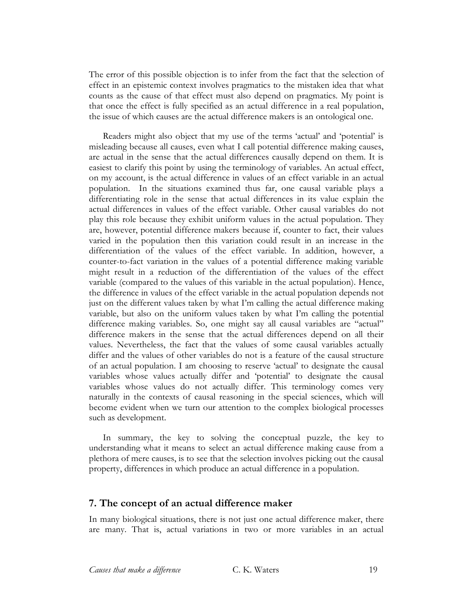The error of this possible objection is to infer from the fact that the selection of effect in an epistemic context involves pragmatics to the mistaken idea that what counts as the cause of that effect must also depend on pragmatics. My point is that once the effect is fully specified as an actual difference in a real population, the issue of which causes are the actual difference makers is an ontological one.

Readers might also object that my use of the terms 'actual' and 'potential' is misleading because all causes, even what I call potential difference making causes, are actual in the sense that the actual differences causally depend on them. It is easiest to clarify this point by using the terminology of variables. An actual effect, on my account, is the actual difference in values of an effect variable in an actual population. In the situations examined thus far, one causal variable plays a differentiating role in the sense that actual differences in its value explain the actual differences in values of the effect variable. Other causal variables do not play this role because they exhibit uniform values in the actual population. They are, however, potential difference makers because if, counter to fact, their values varied in the population then this variation could result in an increase in the differentiation of the values of the effect variable. In addition, however, a counter-to-fact variation in the values of a potential difference making variable might result in a reduction of the differentiation of the values of the effect variable (compared to the values of this variable in the actual population). Hence, the difference in values of the effect variable in the actual population depends not just on the different values taken by what I'm calling the actual difference making variable, but also on the uniform values taken by what I'm calling the potential difference making variables. So, one might say all causal variables are "actual" difference makers in the sense that the actual differences depend on all their values. Nevertheless, the fact that the values of some causal variables actually differ and the values of other variables do not is a feature of the causal structure of an actual population. I am choosing to reserve 'actual' to designate the causal variables whose values actually differ and 'potential' to designate the causal variables whose values do not actually differ. This terminology comes very naturally in the contexts of causal reasoning in the special sciences, which will become evident when we turn our attention to the complex biological processes such as development.

In summary, the key to solving the conceptual puzzle, the key to understanding what it means to select an actual difference making cause from a plethora of mere causes, is to see that the selection involves picking out the causal property, differences in which produce an actual difference in a population.

#### **7. The concept of an actual difference maker**

In many biological situations, there is not just one actual difference maker, there are many. That is, actual variations in two or more variables in an actual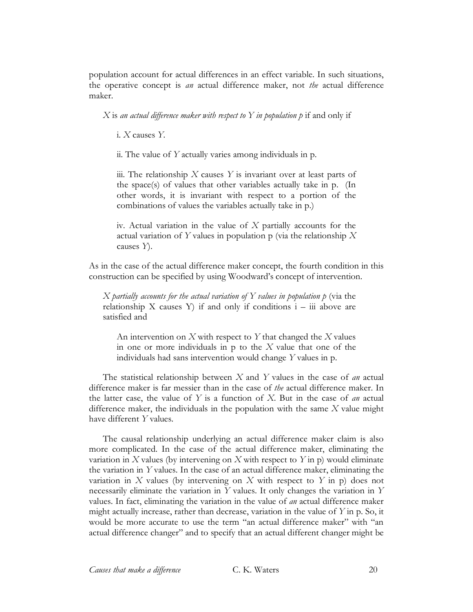population account for actual differences in an effect variable. In such situations, the operative concept is *an* actual difference maker, not *the* actual difference maker.

*X* is *an actual difference maker with respect to Y in population p* if and only if

i. *X* causes *Y.*

ii. The value of *Y* actually varies among individuals in p.

iii. The relationship *X* causes *Y* is invariant over at least parts of the space(s) of values that other variables actually take in p. (In other words, it is invariant with respect to a portion of the combinations of values the variables actually take in p.)

iv. Actual variation in the value of *X* partially accounts for the actual variation of *Y* values in population p (via the relationship *X* causes *Y*).

As in the case of the actual difference maker concept, the fourth condition in this construction can be specified by using Woodward's concept of intervention.

*X partially accounts for the actual variation of Y values in population p* (via the relationship X causes Y) if and only if conditions  $i - iii$  above are satisfied and

An intervention on *X* with respect to *Y* that changed the *X* values in one or more individuals in p to the *X* value that one of the individuals had sans intervention would change *Y* values in p.

The statistical relationship between *X* and *Y* values in the case of *an* actual difference maker is far messier than in the case of *the* actual difference maker. In the latter case, the value of *Y* is a function of *X*. But in the case of *an* actual difference maker, the individuals in the population with the same *X* value might have different *Y* values.

The causal relationship underlying an actual difference maker claim is also more complicated. In the case of the actual difference maker, eliminating the variation in *X* values (by intervening on *X* with respect to *Y* in p) would eliminate the variation in *Y* values. In the case of an actual difference maker, eliminating the variation in *X* values (by intervening on *X* with respect to *Y* in p) does not necessarily eliminate the variation in *Y* values. It only changes the variation in *Y* values. In fact, eliminating the variation in the value of *an* actual difference maker might actually increase, rather than decrease, variation in the value of *Y* in p. So, it would be more accurate to use the term "an actual difference maker" with "an actual difference changer" and to specify that an actual different changer might be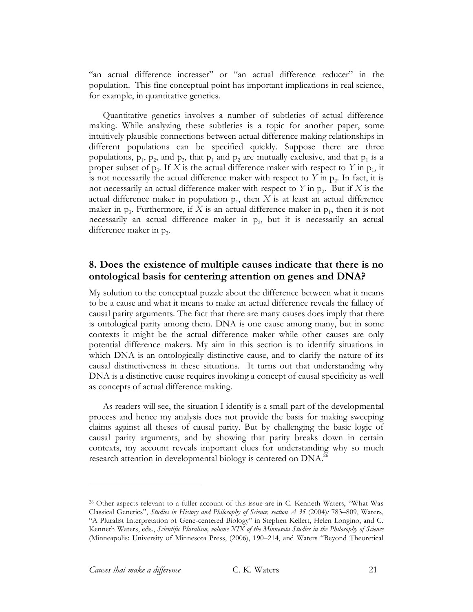"an actual difference increaser" or "an actual difference reducer" in the population. This fine conceptual point has important implications in real science, for example, in quantitative genetics.

Quantitative genetics involves a number of subtleties of actual difference making. While analyzing these subtleties is a topic for another paper, some intuitively plausible connections between actual difference making relationships in different populations can be specified quickly. Suppose there are three populations,  $p_1$ ,  $p_2$ , and  $p_3$ , that  $p_1$  and  $p_2$  are mutually exclusive, and that  $p_1$  is a proper subset of  $p_3$ . If *X* is the actual difference maker with respect to *Y* in  $p_1$ , it is not necessarily the actual difference maker with respect to  $Y$  in  $p_2$ . In fact, it is not necessarily an actual difference maker with respect to  $Y$  in  $p<sub>2</sub>$ . But if  $X$  is the actual difference maker in population  $p_1$ , then *X* is at least an actual difference maker in  $p_3$ . Furthermore, if *X* is an actual difference maker in  $p_1$ , then it is not necessarily an actual difference maker in  $p_2$ , but it is necessarily an actual difference maker in  $p_3$ .

# **8. Does the existence of multiple causes indicate that there is no ontological basis for centering attention on genes and DNA?**

My solution to the conceptual puzzle about the difference between what it means to be a cause and what it means to make an actual difference reveals the fallacy of causal parity arguments. The fact that there are many causes does imply that there is ontological parity among them. DNA is one cause among many, but in some contexts it might be the actual difference maker while other causes are only potential difference makers. My aim in this section is to identify situations in which DNA is an ontologically distinctive cause, and to clarify the nature of its causal distinctiveness in these situations. It turns out that understanding why DNA is a distinctive cause requires invoking a concept of causal specificity as well as concepts of actual difference making.

As readers will see, the situation I identify is a small part of the developmental process and hence my analysis does not provide the basis for making sweeping claims against all theses of causal parity. But by challenging the basic logic of causal parity arguments, and by showing that parity breaks down in certain contexts, my account reveals important clues for understanding why so much research attention in developmental biology is centered on DNA.<sup>26</sup>

<sup>26</sup> Other aspects relevant to a fuller account of this issue are in C. Kenneth Waters, "What Was Classical Genetics", *Studies in History and Philosophy of Science, section A 35* (2004)*:* 783–809, Waters, "A Pluralist Interpretation of Gene-centered Biology" in Stephen Kellert, Helen Longino, and C. Kenneth Waters, eds., *Scientific Pluralism, volume XIX of the Minnesota Studies in the Philosophy of Science* (Minneapolis: University of Minnesota Press, (2006), 190–214, and Waters "Beyond Theoretical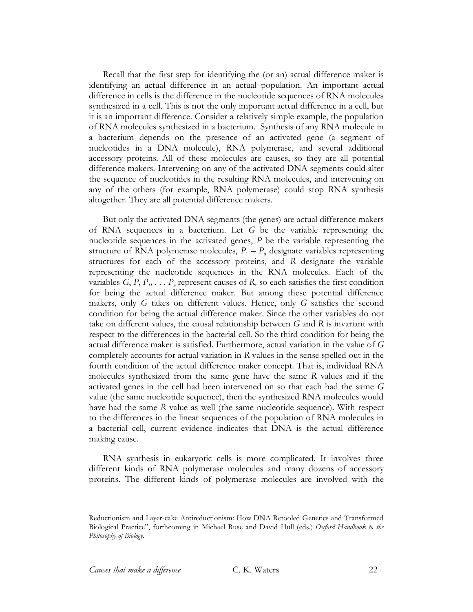Recall that the first step for identifying the (or an) actual difference maker is identifying an actual difference in an actual population. An important actual difference in cells is the difference in the nucleotide sequences of RNA molecules synthesized in a cell. This is not the only important actual difference in a cell, but it is an important difference. Consider a relatively simple example, the population of RNA molecules synthesized in a bacterium. Synthesis of any RNA molecule in a bacterium depends on the presence of an activated gene (a segment of nucleotides in a DNA molecule), RNA polymerase, and several additional accessory proteins. All of these molecules are causes, so they are all potential difference makers. Intervening on any of the activated DNA segments could alter the sequence of nucleotides in the resulting RNA molecules, and intervening on any of the others (for example, RNA polymerase) could stop RNA synthesis altogether. They are all potential difference makers.

But only the activated DNA segments (the genes) are actual difference makers of RNA sequences in a bacterium. Let *G* be the variable representing the nucleotide sequences in the activated genes, *P* be the variable representing the structure of RNA polymerase molecules,  $P_1 - P_n$  designate variables representing structures for each of the accessory proteins, and *R* designate the variable representing the nucleotide sequences in the RNA molecules. Each of the variables  $G, P, P_1, \ldots, P_n$  represent causes of R, so each satisfies the first condition for being the actual difference maker. But among these potential difference makers, only *G* takes on different values. Hence, only *G* satisfies the second condition for being the actual difference maker. Since the other variables do not take on different values, the causal relationship between *G* and *R* is invariant with respect to the differences in the bacterial cell. So the third condition for being the actual difference maker is satisfied. Furthermore, actual variation in the value of *G* completely accounts for actual variation in *R* values in the sense spelled out in the fourth condition of the actual difference maker concept. That is, individual RNA molecules synthesized from the same gene have the same *R* values and if the activated genes in the cell had been intervened on so that each had the same *G* value (the same nucleotide sequence), then the synthesized RNA molecules would have had the same *R* value as well (the same nucleotide sequence). With respect to the differences in the linear sequences of the population of RNA molecules in a bacterial cell, current evidence indicates that DNA is the actual difference making cause.

RNA synthesis in eukaryotic cells is more complicated. It involves three different kinds of RNA polymerase molecules and many dozens of accessory proteins. The different kinds of polymerase molecules are involved with the

Reductionism and Layer-cake Antireductionism: How DNA Retooled Genetics and Transformed Biological Practice", forthcoming in Michael Ruse and David Hull (eds.) *Oxford Handbook to the Philosophy of Biology.*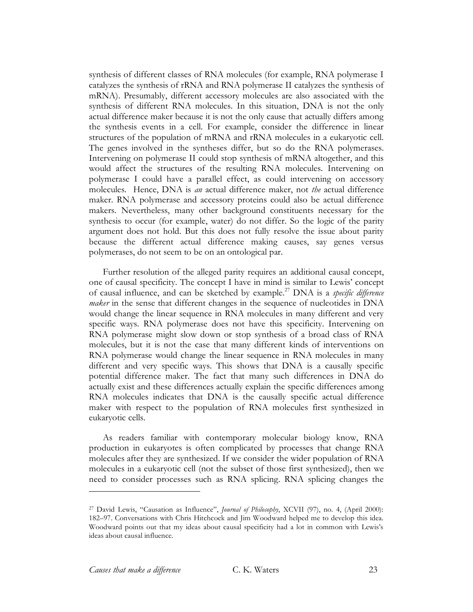synthesis of different classes of RNA molecules (for example, RNA polymerase I catalyzes the synthesis of rRNA and RNA polymerase II catalyzes the synthesis of mRNA). Presumably, different accessory molecules are also associated with the synthesis of different RNA molecules. In this situation, DNA is not the only actual difference maker because it is not the only cause that actually differs among the synthesis events in a cell. For example, consider the difference in linear structures of the population of mRNA and rRNA molecules in a eukaryotic cell. The genes involved in the syntheses differ, but so do the RNA polymerases. Intervening on polymerase II could stop synthesis of mRNA altogether, and this would affect the structures of the resulting RNA molecules. Intervening on polymerase I could have a parallel effect, as could intervening on accessory molecules. Hence, DNA is *an* actual difference maker, not *the* actual difference maker. RNA polymerase and accessory proteins could also be actual difference makers. Nevertheless, many other background constituents necessary for the synthesis to occur (for example, water) do not differ. So the logic of the parity argument does not hold. But this does not fully resolve the issue about parity because the different actual difference making causes, say genes versus polymerases, do not seem to be on an ontological par.

Further resolution of the alleged parity requires an additional causal concept, one of causal specificity. The concept I have in mind is similar to Lewis' concept of causal influence, and can be sketched by example. <sup>27</sup> DNA is a *specific difference maker* in the sense that different changes in the sequence of nucleotides in DNA would change the linear sequence in RNA molecules in many different and very specific ways. RNA polymerase does not have this specificity. Intervening on RNA polymerase might slow down or stop synthesis of a broad class of RNA molecules, but it is not the case that many different kinds of interventions on RNA polymerase would change the linear sequence in RNA molecules in many different and very specific ways. This shows that DNA is a causally specific potential difference maker. The fact that many such differences in DNA do actually exist and these differences actually explain the specific differences among RNA molecules indicates that DNA is the causally specific actual difference maker with respect to the population of RNA molecules first synthesized in eukaryotic cells.

As readers familiar with contemporary molecular biology know, RNA production in eukaryotes is often complicated by processes that change RNA molecules after they are synthesized. If we consider the wider population of RNA molecules in a eukaryotic cell (not the subset of those first synthesized), then we need to consider processes such as RNA splicing. RNA splicing changes the

<sup>27</sup> David Lewis, "Causation as Influence", *Journal of Philosophy*, XCVII (97), no. 4, (April 2000): 182–97. Conversations with Chris Hitchcock and Jim Woodward helped me to develop this idea. Woodward points out that my ideas about causal specificity had a lot in common with Lewis's ideas about causal influence.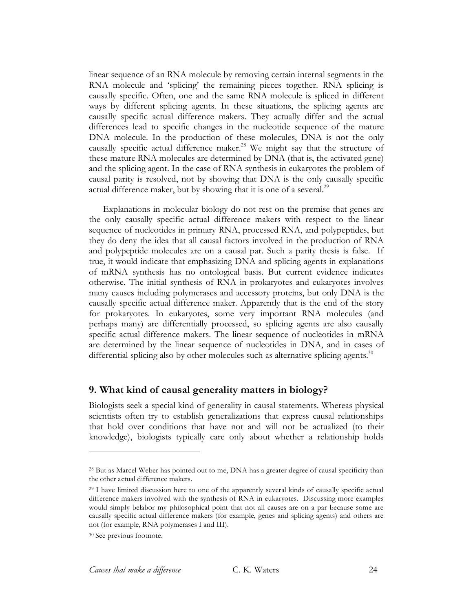linear sequence of an RNA molecule by removing certain internal segments in the RNA molecule and 'splicing' the remaining pieces together. RNA splicing is causally specific. Often, one and the same RNA molecule is spliced in different ways by different splicing agents. In these situations, the splicing agents are causally specific actual difference makers. They actually differ and the actual differences lead to specific changes in the nucleotide sequence of the mature DNA molecule. In the production of these molecules, DNA is not the only causally specific actual difference maker.<sup>28</sup> We might say that the structure of these mature RNA molecules are determined by DNA (that is, the activated gene) and the splicing agent. In the case of RNA synthesis in eukaryotes the problem of causal parity is resolved, not by showing that DNA is the only causally specific actual difference maker, but by showing that it is one of a several.<sup>29</sup>

Explanations in molecular biology do not rest on the premise that genes are the only causally specific actual difference makers with respect to the linear sequence of nucleotides in primary RNA, processed RNA, and polypeptides, but they do deny the idea that all causal factors involved in the production of RNA and polypeptide molecules are on a causal par. Such a parity thesis is false. If true, it would indicate that emphasizing DNA and splicing agents in explanations of mRNA synthesis has no ontological basis. But current evidence indicates otherwise. The initial synthesis of RNA in prokaryotes and eukaryotes involves many causes including polymerases and accessory proteins, but only DNA is the causally specific actual difference maker. Apparently that is the end of the story for prokaryotes. In eukaryotes, some very important RNA molecules (and perhaps many) are differentially processed, so splicing agents are also causally specific actual difference makers. The linear sequence of nucleotides in mRNA are determined by the linear sequence of nucleotides in DNA, and in cases of differential splicing also by other molecules such as alternative splicing agents.<sup>30</sup>

# **9. What kind of causal generality matters in biology?**

Biologists seek a special kind of generality in causal statements. Whereas physical scientists often try to establish generalizations that express causal relationships that hold over conditions that have not and will not be actualized (to their knowledge), biologists typically care only about whether a relationship holds

<sup>&</sup>lt;sup>28</sup> But as Marcel Weber has pointed out to me, DNA has a greater degree of causal specificity than the other actual difference makers.

<sup>&</sup>lt;sup>29</sup> I have limited discussion here to one of the apparently several kinds of causally specific actual difference makers involved with the synthesis of RNA in eukaryotes. Discussing more examples would simply belabor my philosophical point that not all causes are on a par because some are causally specific actual difference makers (for example, genes and splicing agents) and others are not (for example, RNA polymerases I and III).

<sup>30</sup> See previous footnote.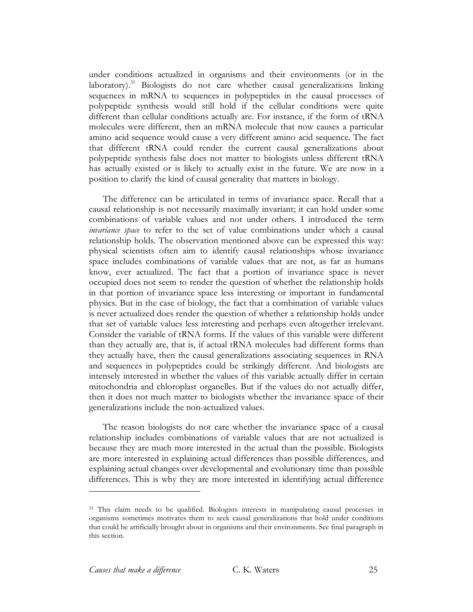under conditions actualized in organisms and their environments (or in the laboratory).<sup>31</sup> Biologists do not care whether causal generalizations linking sequences in mRNA to sequences in polypeptides in the causal processes of polypeptide synthesis would still hold if the cellular conditions were quite different than cellular conditions actually are. For instance, if the form of tRNA molecules were different, then an mRNA molecule that now causes a particular amino acid sequence would cause a very different amino acid sequence. The fact that different tRNA could render the current causal generalizations about polypeptide synthesis false does not matter to biologists unless different tRNA has actually existed or is likely to actually exist in the future. We are now in a position to clarify the kind of causal generality that matters in biology.

The difference can be articulated in terms of invariance space. Recall that a causal relationship is not necessarily maximally invariant; it can hold under some combinations of variable values and not under others. I introduced the term *invariance space* to refer to the set of value combinations under which a causal relationship holds. The observation mentioned above can be expressed this way: physical scientists often aim to identify causal relationships whose invariance space includes combinations of variable values that are not, as far as humans know, ever actualized. The fact that a portion of invariance space is never occupied does not seem to render the question of whether the relationship holds in that portion of invariance space less interesting or important in fundamental physics. But in the case of biology, the fact that a combination of variable values is never actualized does render the question of whether a relationship holds under that set of variable values less interesting and perhaps even altogether irrelevant. Consider the variable of tRNA forms. If the values of this variable were different than they actually are, that is, if actual tRNA molecules had different forms than they actually have, then the causal generalizations associating sequences in RNA and sequences in polypeptides could be strikingly different. And biologists are intensely interested in whether the values of this variable actually differ in certain mitochondria and chloroplast organelles. But if the values do not actually differ, then it does not much matter to biologists whether the invariance space of their generalizations include the non-actualized values.

The reason biologists do not care whether the invariance space of a causal relationship includes combinations of variable values that are not actualized is because they are much more interested in the actual than the possible. Biologists are more interested in explaining actual differences than possible differences, and explaining actual changes over developmental and evolutionary time than possible differences. This is why they are more interested in identifying actual difference

<sup>&</sup>lt;sup>31</sup> This claim needs to be qualified. Biologists interests in manipulating causal processes in organisms sometimes motivates them to seek causal generalizations that hold under conditions that could be artificially brought about in organisms and their environments. See final paragraph in this section.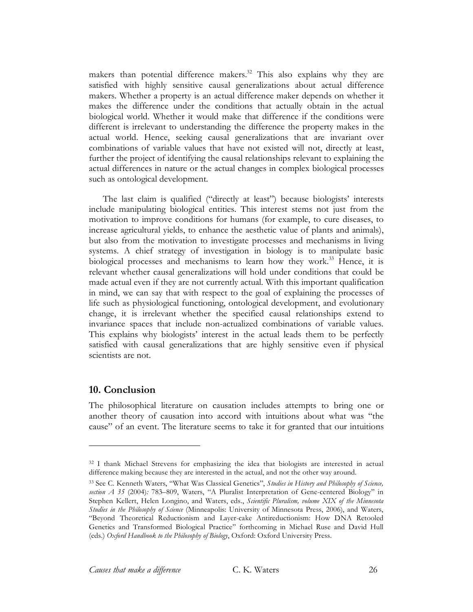makers than potential difference makers.<sup>32</sup> This also explains why they are satisfied with highly sensitive causal generalizations about actual difference makers. Whether a property is an actual difference maker depends on whether it makes the difference under the conditions that actually obtain in the actual biological world. Whether it would make that difference if the conditions were different is irrelevant to understanding the difference the property makes in the actual world. Hence, seeking causal generalizations that are invariant over combinations of variable values that have not existed will not, directly at least, further the project of identifying the causal relationships relevant to explaining the actual differences in nature or the actual changes in complex biological processes such as ontological development.

The last claim is qualified ("directly at least") because biologists' interests include manipulating biological entities. This interest stems not just from the motivation to improve conditions for humans (for example, to cure diseases, to increase agricultural yields, to enhance the aesthetic value of plants and animals), but also from the motivation to investigate processes and mechanisms in living systems. A chief strategy of investigation in biology is to manipulate basic biological processes and mechanisms to learn how they work. <sup>33</sup> Hence, it is relevant whether causal generalizations will hold under conditions that could be made actual even if they are not currently actual. With this important qualification in mind, we can say that with respect to the goal of explaining the processes of life such as physiological functioning, ontological development, and evolutionary change, it is irrelevant whether the specified causal relationships extend to invariance spaces that include non-actualized combinations of variable values. This explains why biologists' interest in the actual leads them to be perfectly satisfied with causal generalizations that are highly sensitive even if physical scientists are not.

#### **10. Conclusion**

 $\overline{a}$ 

The philosophical literature on causation includes attempts to bring one or another theory of causation into accord with intuitions about what was "the cause" of an event. The literature seems to take it for granted that our intuitions

<sup>32</sup> I thank Michael Strevens for emphasizing the idea that biologists are interested in actual difference making because they are interested in the actual, and not the other way around.

<sup>33</sup> See C. Kenneth Waters, "What Was Classical Genetics", *Studies in History and Philosophy of Science, section A 35* (2004)*:* 783–809, Waters, "A Pluralist Interpretation of Gene-centered Biology" in Stephen Kellert, Helen Longino, and Waters, eds., *Scientific Pluralism, volume XIX of the Minnesota Studies in the Philosophy of Science* (Minneapolis: University of Minnesota Press, 2006), and Waters, "Beyond Theoretical Reductionism and Layer-cake Antireductionism: How DNA Retooled Genetics and Transformed Biological Practice" forthcoming in Michael Ruse and David Hull (eds.) *Oxford Handbook to the Philosophy of Biology*, Oxford: Oxford University Press.